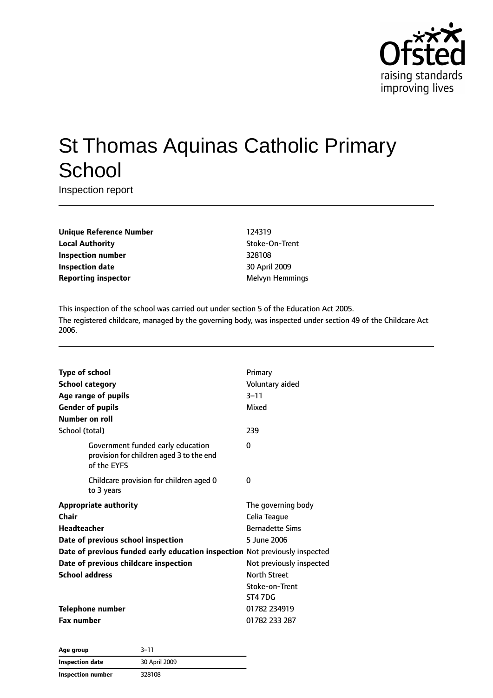

# St Thomas Aquinas Catholic Primary **School**

Inspection report

**Unique Reference Number** 124319 **Local Authority Contains a Local Authority** Stoke-On-Trent **Inspection number** 328108 **Inspection date** 30 April 2009 **Reporting inspector** Melvyn Hemmings

This inspection of the school was carried out under section 5 of the Education Act 2005. The registered childcare, managed by the governing body, was inspected under section 49 of the Childcare Act 2006.

| <b>Type of school</b> |                                                                                              | Primary                  |
|-----------------------|----------------------------------------------------------------------------------------------|--------------------------|
|                       | <b>School category</b>                                                                       | Voluntary aided          |
|                       | Age range of pupils                                                                          | $3 - 11$                 |
|                       | <b>Gender of pupils</b>                                                                      | Mixed                    |
| Number on roll        |                                                                                              |                          |
| School (total)        |                                                                                              | 239                      |
|                       | Government funded early education<br>provision for children aged 3 to the end<br>of the EYFS | 0                        |
|                       | Childcare provision for children aged 0<br>to 3 years                                        | 0                        |
|                       | <b>Appropriate authority</b>                                                                 | The governing body       |
| Chair                 |                                                                                              | Celia Teague             |
| <b>Headteacher</b>    |                                                                                              | <b>Bernadette Sims</b>   |
|                       | Date of previous school inspection                                                           | 5 June 2006              |
|                       | Date of previous funded early education inspection Not previously inspected                  |                          |
|                       | Date of previous childcare inspection                                                        | Not previously inspected |
| <b>School address</b> |                                                                                              | <b>North Street</b>      |
|                       |                                                                                              | Stoke-on-Trent           |
|                       |                                                                                              | ST47DG                   |
|                       | <b>Telephone number</b>                                                                      | 01782 234919             |
| <b>Fax number</b>     |                                                                                              | 01782 233 287            |
|                       |                                                                                              |                          |

**Age group** 3–11 **Inspection date** 30 April 2009 **Inspection number** 328108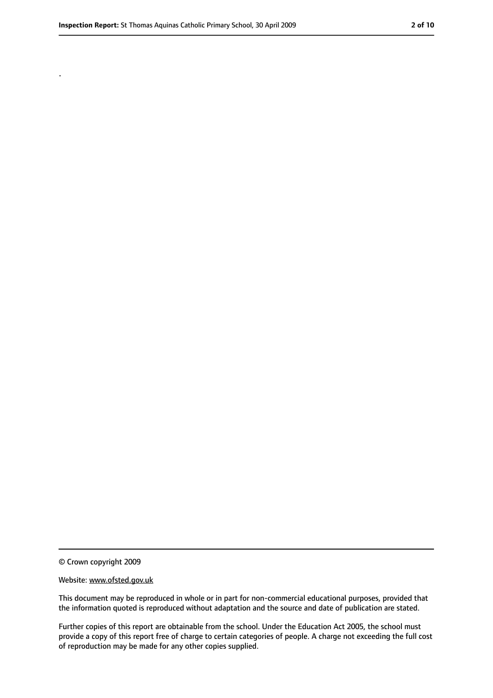.

<sup>©</sup> Crown copyright 2009

Website: www.ofsted.gov.uk

This document may be reproduced in whole or in part for non-commercial educational purposes, provided that the information quoted is reproduced without adaptation and the source and date of publication are stated.

Further copies of this report are obtainable from the school. Under the Education Act 2005, the school must provide a copy of this report free of charge to certain categories of people. A charge not exceeding the full cost of reproduction may be made for any other copies supplied.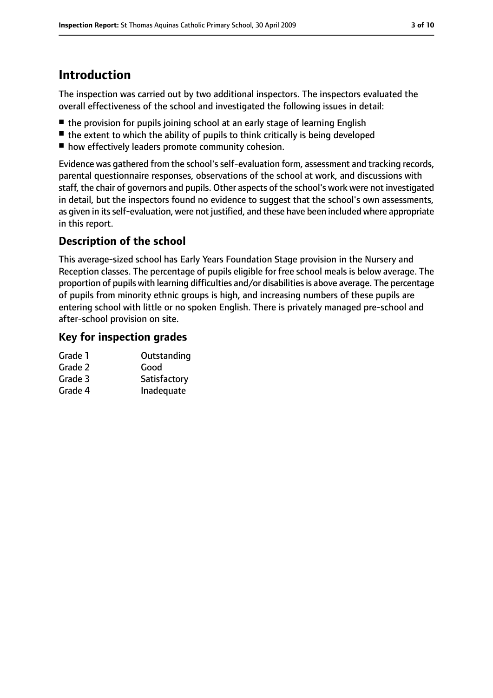## **Introduction**

The inspection was carried out by two additional inspectors. The inspectors evaluated the overall effectiveness of the school and investigated the following issues in detail:

- the provision for pupils joining school at an early stage of learning English
- the extent to which the ability of pupils to think critically is being developed
- how effectively leaders promote community cohesion.

Evidence was gathered from the school'sself-evaluation form, assessment and tracking records, parental questionnaire responses, observations of the school at work, and discussions with staff, the chair of governors and pupils. Other aspects of the school's work were not investigated in detail, but the inspectors found no evidence to suggest that the school's own assessments, as given in its self-evaluation, were not justified, and these have been included where appropriate in this report.

#### **Description of the school**

This average-sized school has Early Years Foundation Stage provision in the Nursery and Reception classes. The percentage of pupils eligible for free school meals is below average. The proportion of pupils with learning difficulties and/or disabilities is above average. The percentage of pupils from minority ethnic groups is high, and increasing numbers of these pupils are entering school with little or no spoken English. There is privately managed pre-school and after-school provision on site.

#### **Key for inspection grades**

| Grade 1 | Outstanding  |
|---------|--------------|
| Grade 2 | Good         |
| Grade 3 | Satisfactory |
| Grade 4 | Inadequate   |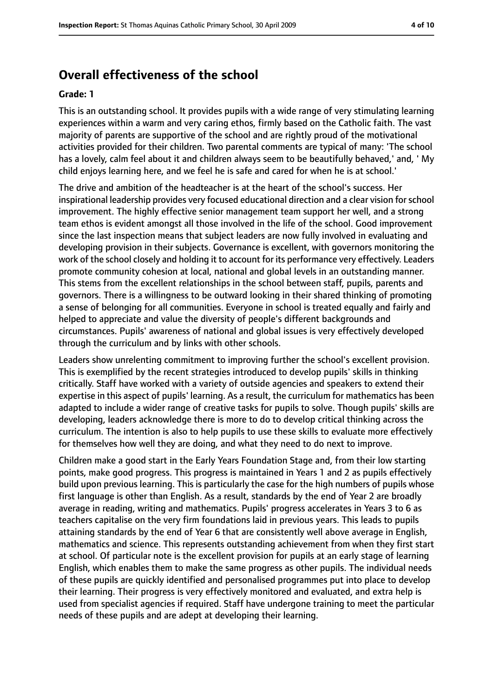#### **Overall effectiveness of the school**

#### **Grade: 1**

This is an outstanding school. It provides pupils with a wide range of very stimulating learning experiences within a warm and very caring ethos, firmly based on the Catholic faith. The vast majority of parents are supportive of the school and are rightly proud of the motivational activities provided for their children. Two parental comments are typical of many: 'The school has a lovely, calm feel about it and children always seem to be beautifully behaved,' and, ' My child enjoys learning here, and we feel he is safe and cared for when he is at school.'

The drive and ambition of the headteacher is at the heart of the school's success. Her inspirational leadership provides very focused educational direction and a clear vision for school improvement. The highly effective senior management team support her well, and a strong team ethos is evident amongst all those involved in the life of the school. Good improvement since the last inspection means that subject leaders are now fully involved in evaluating and developing provision in their subjects. Governance is excellent, with governors monitoring the work of the school closely and holding it to account for its performance very effectively. Leaders promote community cohesion at local, national and global levels in an outstanding manner. This stems from the excellent relationships in the school between staff, pupils, parents and governors. There is a willingness to be outward looking in their shared thinking of promoting a sense of belonging for all communities. Everyone in school is treated equally and fairly and helped to appreciate and value the diversity of people's different backgrounds and circumstances. Pupils' awareness of national and global issues is very effectively developed through the curriculum and by links with other schools.

Leaders show unrelenting commitment to improving further the school's excellent provision. This is exemplified by the recent strategies introduced to develop pupils' skills in thinking critically. Staff have worked with a variety of outside agencies and speakers to extend their expertise in this aspect of pupils' learning. As a result, the curriculum for mathematics has been adapted to include a wider range of creative tasks for pupils to solve. Though pupils' skills are developing, leaders acknowledge there is more to do to develop critical thinking across the curriculum. The intention is also to help pupils to use these skills to evaluate more effectively for themselves how well they are doing, and what they need to do next to improve.

Children make a good start in the Early Years Foundation Stage and, from their low starting points, make good progress. This progress is maintained in Years 1 and 2 as pupils effectively build upon previous learning. This is particularly the case for the high numbers of pupils whose first language is other than English. As a result, standards by the end of Year 2 are broadly average in reading, writing and mathematics. Pupils' progress accelerates in Years 3 to 6 as teachers capitalise on the very firm foundations laid in previous years. This leads to pupils attaining standards by the end of Year 6 that are consistently well above average in English, mathematics and science. This represents outstanding achievement from when they first start at school. Of particular note is the excellent provision for pupils at an early stage of learning English, which enables them to make the same progress as other pupils. The individual needs of these pupils are quickly identified and personalised programmes put into place to develop their learning. Their progress is very effectively monitored and evaluated, and extra help is used from specialist agencies if required. Staff have undergone training to meet the particular needs of these pupils and are adept at developing their learning.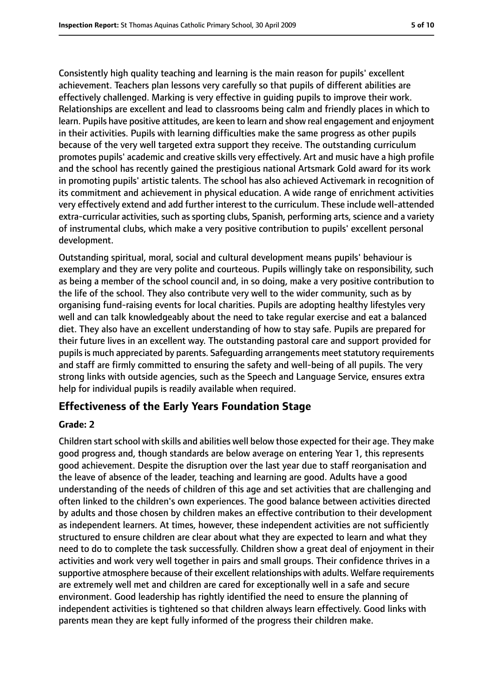Consistently high quality teaching and learning is the main reason for pupils' excellent achievement. Teachers plan lessons very carefully so that pupils of different abilities are effectively challenged. Marking is very effective in guiding pupils to improve their work. Relationships are excellent and lead to classrooms being calm and friendly places in which to learn. Pupils have positive attitudes, are keen to learn and show real engagement and enjoyment in their activities. Pupils with learning difficulties make the same progress as other pupils because of the very well targeted extra support they receive. The outstanding curriculum promotes pupils' academic and creative skills very effectively. Art and music have a high profile and the school has recently gained the prestigious national Artsmark Gold award for its work in promoting pupils' artistic talents. The school has also achieved Activemark in recognition of its commitment and achievement in physical education. A wide range of enrichment activities very effectively extend and add further interest to the curriculum. These include well-attended extra-curricular activities, such as sporting clubs, Spanish, performing arts, science and a variety of instrumental clubs, which make a very positive contribution to pupils' excellent personal development.

Outstanding spiritual, moral, social and cultural development means pupils' behaviour is exemplary and they are very polite and courteous. Pupils willingly take on responsibility, such as being a member of the school council and, in so doing, make a very positive contribution to the life of the school. They also contribute very well to the wider community, such as by organising fund-raising events for local charities. Pupils are adopting healthy lifestyles very well and can talk knowledgeably about the need to take regular exercise and eat a balanced diet. They also have an excellent understanding of how to stay safe. Pupils are prepared for their future lives in an excellent way. The outstanding pastoral care and support provided for pupils is much appreciated by parents. Safeguarding arrangements meet statutory requirements and staff are firmly committed to ensuring the safety and well-being of all pupils. The very strong links with outside agencies, such as the Speech and Language Service, ensures extra help for individual pupils is readily available when required.

#### **Effectiveness of the Early Years Foundation Stage**

#### **Grade: 2**

Children start school with skills and abilities well below those expected for their age. They make good progress and, though standards are below average on entering Year 1, this represents good achievement. Despite the disruption over the last year due to staff reorganisation and the leave of absence of the leader, teaching and learning are good. Adults have a good understanding of the needs of children of this age and set activities that are challenging and often linked to the children's own experiences. The good balance between activities directed by adults and those chosen by children makes an effective contribution to their development as independent learners. At times, however, these independent activities are not sufficiently structured to ensure children are clear about what they are expected to learn and what they need to do to complete the task successfully. Children show a great deal of enjoyment in their activities and work very well together in pairs and small groups. Their confidence thrives in a supportive atmosphere because of their excellent relationships with adults. Welfare requirements are extremely well met and children are cared for exceptionally well in a safe and secure environment. Good leadership has rightly identified the need to ensure the planning of independent activities is tightened so that children always learn effectively. Good links with parents mean they are kept fully informed of the progress their children make.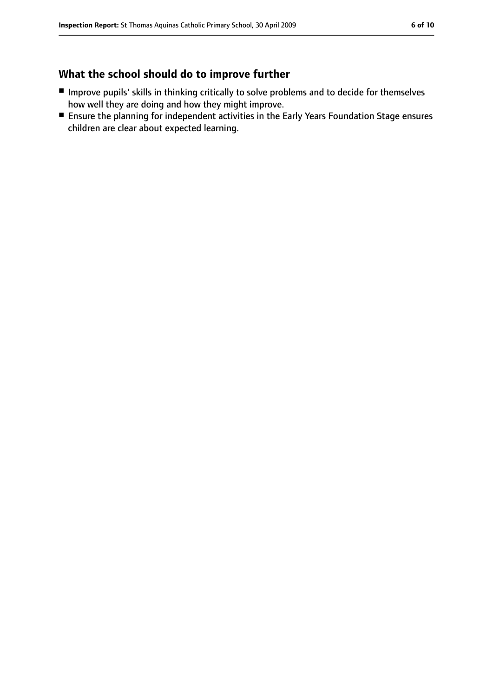## **What the school should do to improve further**

- Improve pupils' skills in thinking critically to solve problems and to decide for themselves how well they are doing and how they might improve.
- Ensure the planning for independent activities in the Early Years Foundation Stage ensures children are clear about expected learning.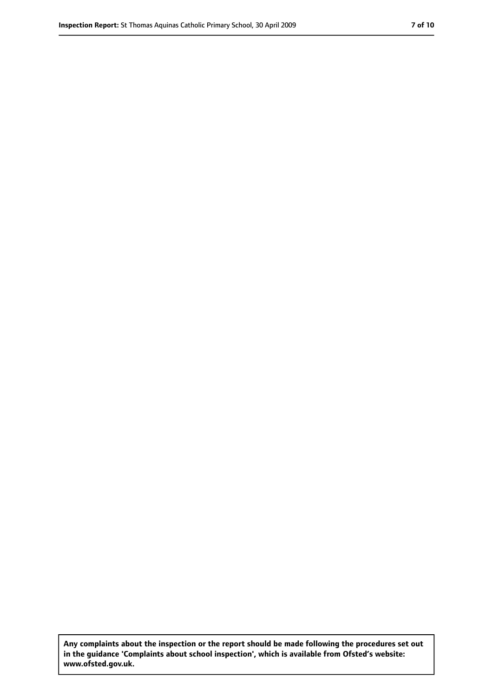**Any complaints about the inspection or the report should be made following the procedures set out in the guidance 'Complaints about school inspection', which is available from Ofsted's website: www.ofsted.gov.uk.**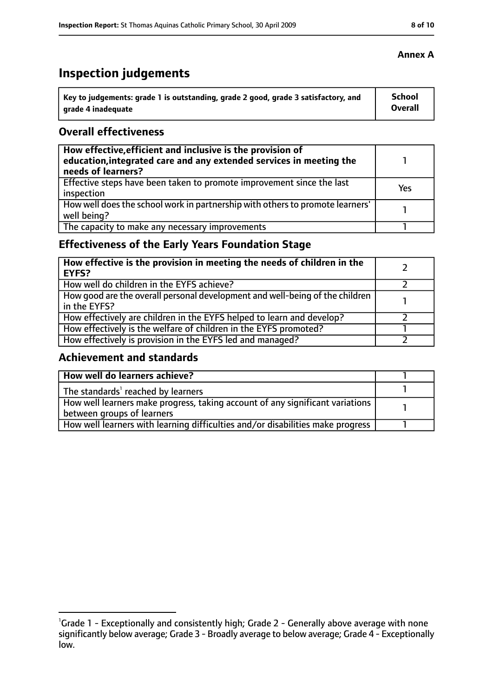## **Inspection judgements**

| Key to judgements: grade 1 is outstanding, grade 2 good, grade 3 satisfactory, and | <b>School</b> |
|------------------------------------------------------------------------------------|---------------|
| arade 4 inadequate                                                                 | Overall       |

#### **Overall effectiveness**

| How effective, efficient and inclusive is the provision of<br>education, integrated care and any extended services in meeting the<br>needs of learners? |     |
|---------------------------------------------------------------------------------------------------------------------------------------------------------|-----|
| Effective steps have been taken to promote improvement since the last<br>inspection                                                                     | Yes |
| How well does the school work in partnership with others to promote learners'<br>well being?                                                            |     |
| The capacity to make any necessary improvements                                                                                                         |     |

## **Effectiveness of the Early Years Foundation Stage**

| How effective is the provision in meeting the needs of children in the<br><b>EYFS?</b>       |  |
|----------------------------------------------------------------------------------------------|--|
| How well do children in the EYFS achieve?                                                    |  |
| How good are the overall personal development and well-being of the children<br>in the EYFS? |  |
| How effectively are children in the EYFS helped to learn and develop?                        |  |
| How effectively is the welfare of children in the EYFS promoted?                             |  |
| How effectively is provision in the EYFS led and managed?                                    |  |

#### **Achievement and standards**

| How well do learners achieve?                                                               |  |
|---------------------------------------------------------------------------------------------|--|
| $\vert$ The standards <sup>1</sup> reached by learners                                      |  |
| $\mid$ How well learners make progress, taking account of any significant variations $\mid$ |  |
| between groups of learners                                                                  |  |
| How well learners with learning difficulties and/or disabilities make progress              |  |

#### **Annex A**

<sup>&</sup>lt;sup>1</sup>Grade 1 - Exceptionally and consistently high; Grade 2 - Generally above average with none significantly below average; Grade 3 - Broadly average to below average; Grade 4 - Exceptionally low.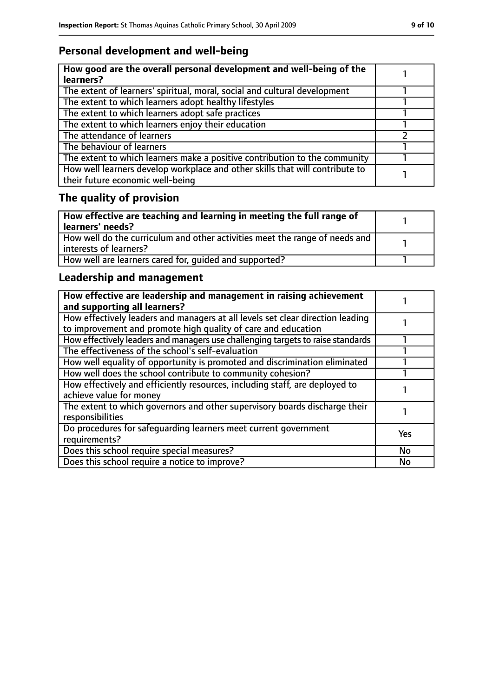## **Personal development and well-being**

| How good are the overall personal development and well-being of the<br>learners?                                 |  |
|------------------------------------------------------------------------------------------------------------------|--|
| The extent of learners' spiritual, moral, social and cultural development                                        |  |
| The extent to which learners adopt healthy lifestyles                                                            |  |
| The extent to which learners adopt safe practices                                                                |  |
| The extent to which learners enjoy their education                                                               |  |
| The attendance of learners                                                                                       |  |
| The behaviour of learners                                                                                        |  |
| The extent to which learners make a positive contribution to the community                                       |  |
| How well learners develop workplace and other skills that will contribute to<br>their future economic well-being |  |

# **The quality of provision**

| How effective are teaching and learning in meeting the full range of<br>learners' needs?              |  |
|-------------------------------------------------------------------------------------------------------|--|
| How well do the curriculum and other activities meet the range of needs and<br>interests of learners? |  |
| How well are learners cared for, quided and supported?                                                |  |

## **Leadership and management**

| How effective are leadership and management in raising achievement<br>and supporting all learners?                                              |            |
|-------------------------------------------------------------------------------------------------------------------------------------------------|------------|
| How effectively leaders and managers at all levels set clear direction leading<br>to improvement and promote high quality of care and education |            |
| How effectively leaders and managers use challenging targets to raise standards                                                                 |            |
| The effectiveness of the school's self-evaluation                                                                                               |            |
| How well equality of opportunity is promoted and discrimination eliminated                                                                      |            |
| How well does the school contribute to community cohesion?                                                                                      |            |
| How effectively and efficiently resources, including staff, are deployed to<br>achieve value for money                                          |            |
| The extent to which governors and other supervisory boards discharge their<br>responsibilities                                                  |            |
| Do procedures for safequarding learners meet current government<br>requirements?                                                                | <b>Yes</b> |
| Does this school require special measures?                                                                                                      | <b>No</b>  |
| Does this school require a notice to improve?                                                                                                   | No         |